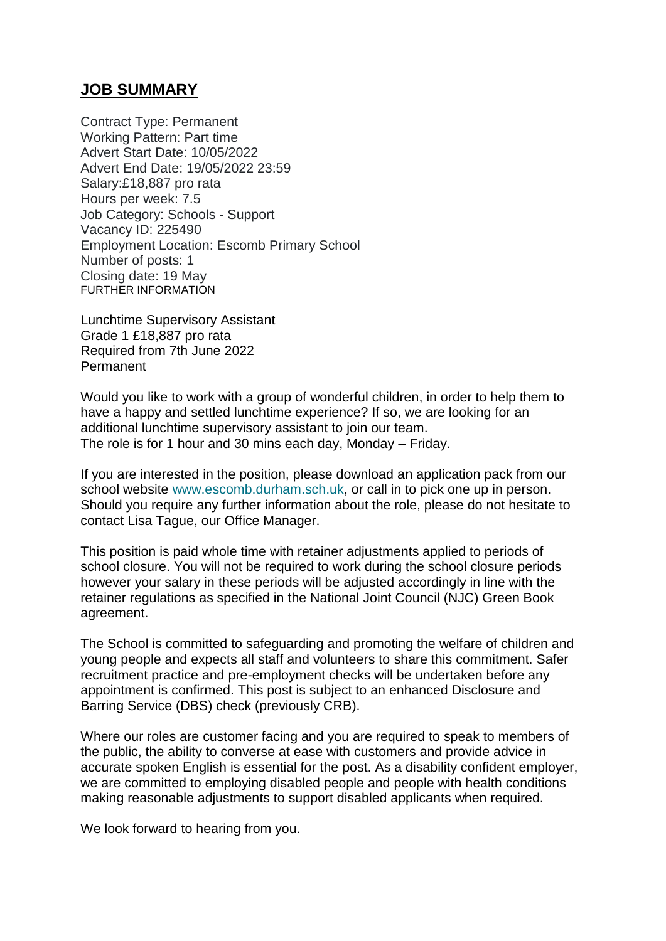## **JOB SUMMARY**

Contract Type: Permanent Working Pattern: Part time Advert Start Date: 10/05/2022 Advert End Date: 19/05/2022 23:59 Salary:£18,887 pro rata Hours per week: 7.5 Job Category: Schools - Support Vacancy ID: 225490 Employment Location: Escomb Primary School Number of posts: 1 Closing date: 19 May FURTHER INFORMATION

Lunchtime Supervisory Assistant Grade 1 £18,887 pro rata Required from 7th June 2022 Permanent

Would you like to work with a group of wonderful children, in order to help them to have a happy and settled lunchtime experience? If so, we are looking for an additional lunchtime supervisory assistant to join our team. The role is for 1 hour and 30 mins each day, Monday – Friday.

If you are interested in the position, please download an application pack from our school website [www.escomb.durham.sch.uk,](http://www.escomb.durham.sch.uk/) or call in to pick one up in person. Should you require any further information about the role, please do not hesitate to contact Lisa Tague, our Office Manager.

This position is paid whole time with retainer adjustments applied to periods of school closure. You will not be required to work during the school closure periods however your salary in these periods will be adjusted accordingly in line with the retainer regulations as specified in the National Joint Council (NJC) Green Book agreement.

The School is committed to safeguarding and promoting the welfare of children and young people and expects all staff and volunteers to share this commitment. Safer recruitment practice and pre-employment checks will be undertaken before any appointment is confirmed. This post is subject to an enhanced Disclosure and Barring Service (DBS) check (previously CRB).

Where our roles are customer facing and you are required to speak to members of the public, the ability to converse at ease with customers and provide advice in accurate spoken English is essential for the post. As a disability confident employer, we are committed to employing disabled people and people with health conditions making reasonable adjustments to support disabled applicants when required.

We look forward to hearing from you.